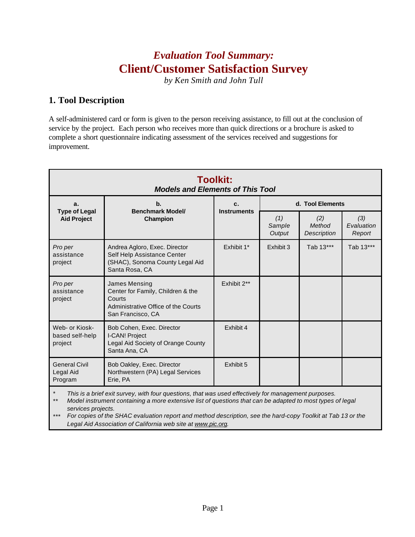# *Evaluation Tool Summary:* **Client/Customer Satisfaction Survey**

*by Ken Smith and John Tull*

### **1. Tool Description**

A self-administered card or form is given to the person receiving assistance, to fill out at the conclusion of service by the project. Each person who receives more than quick directions or a brochure is asked to complete a short questionnaire indicating assessment of the services received and suggestions for improvement.

| <b>Toolkit:</b><br><b>Models and Elements of This Tool</b>                                                               |                          |                         |                              |                                                                                                     |  |
|--------------------------------------------------------------------------------------------------------------------------|--------------------------|-------------------------|------------------------------|-----------------------------------------------------------------------------------------------------|--|
| $\mathbf b$ .                                                                                                            | c.<br><b>Instruments</b> | d. Tool Elements        |                              |                                                                                                     |  |
| Champion                                                                                                                 |                          | (1)<br>Sample<br>Output | (2)<br>Method<br>Description | (3)<br>Evaluation<br>Report                                                                         |  |
| Andrea Agloro, Exec. Director<br>Self Help Assistance Center<br>(SHAC), Sonoma County Legal Aid<br>Santa Rosa, CA        | Exhibit 1*               | Exhibit 3               | Tab 13***                    | Tab 13***                                                                                           |  |
| James Mensing<br>Center for Family, Children & the<br>Courts<br>Administrative Office of the Courts<br>San Francisco, CA | Exhibit 2**              |                         |                              |                                                                                                     |  |
| Bob Cohen, Exec. Director<br>I-CAN! Project<br>Legal Aid Society of Orange County<br>Santa Ana, CA                       | Exhibit 4                |                         |                              |                                                                                                     |  |
| Bob Oakley, Exec. Director<br>Northwestern (PA) Legal Services<br>Erie, PA                                               | Exhibit 5                |                         |                              |                                                                                                     |  |
|                                                                                                                          | <b>Benchmark Model/</b>  |                         |                              | This is a brief exit survey, with four questions, that was used effectively for management purposes |  |

*\* This is a brief exit survey, with four questions, that was used effectively for management purposes.*

*\*\* Model instrument containing a more extensive list of questions that can be adapted to most types of legal services projects.*

*\*\*\* For copies of the SHAC evaluation report and method description, see the hard-copy Toolkit at Tab 13 or the Legal Aid Association of California web site at www.pic.org.*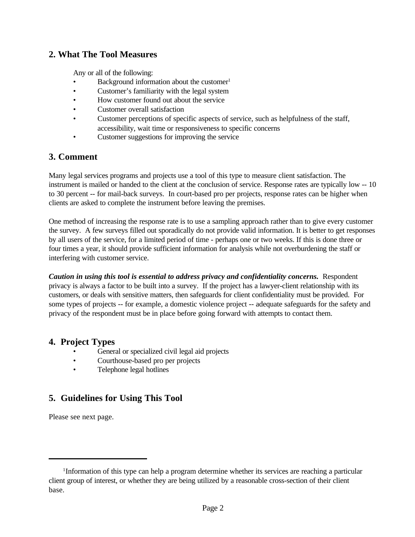#### **2. What The Tool Measures**

Any or all of the following:

- Background information about the customer $1$
- Customer's familiarity with the legal system
- How customer found out about the service
- Customer overall satisfaction
- Customer perceptions of specific aspects of service, such as helpfulness of the staff, accessibility, wait time or responsiveness to specific concerns
- Customer suggestions for improving the service

#### **3. Comment**

Many legal services programs and projects use a tool of this type to measure client satisfaction. The instrument is mailed or handed to the client at the conclusion of service. Response rates are typically low -- 10 to 30 percent -- for mail-back surveys. In court-based pro per projects, response rates can be higher when clients are asked to complete the instrument before leaving the premises.

One method of increasing the response rate is to use a sampling approach rather than to give every customer the survey. A few surveys filled out sporadically do not provide valid information. It is better to get responses by all users of the service, for a limited period of time - perhaps one or two weeks. If this is done three or four times a year, it should provide sufficient information for analysis while not overburdening the staff or interfering with customer service.

*Caution in using this tool is essential to address privacy and confidentiality concerns.*Respondent privacy is always a factor to be built into a survey. If the project has a lawyer-client relationship with its customers, or deals with sensitive matters, then safeguards for client confidentiality must be provided. For some types of projects -- for example, a domestic violence project -- adequate safeguards for the safety and privacy of the respondent must be in place before going forward with attempts to contact them.

#### **4. Project Types**

- General or specialized civil legal aid projects
- Courthouse-based pro per projects
- Telephone legal hotlines

### **5. Guidelines for Using This Tool**

Please see next page.

<sup>&</sup>lt;sup>1</sup>Information of this type can help a program determine whether its services are reaching a particular client group of interest, or whether they are being utilized by a reasonable cross-section of their client base.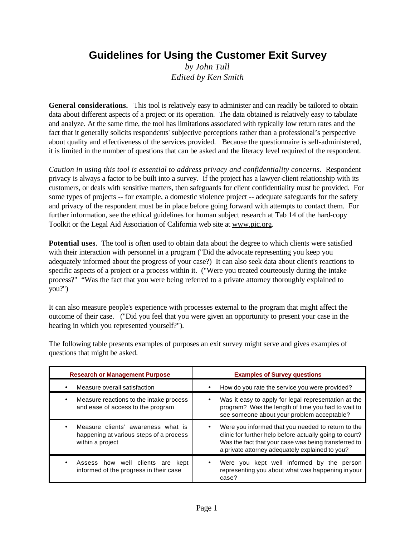# **Guidelines for Using the Customer Exit Survey**

*by John Tull Edited by Ken Smith*

**General considerations.** This tool is relatively easy to administer and can readily be tailored to obtain data about different aspects of a project or its operation. The data obtained is relatively easy to tabulate and analyze. At the same time, the tool has limitations associated with typically low return rates and the fact that it generally solicits respondents' subjective perceptions rather than a professional's perspective about quality and effectiveness of the services provided. Because the questionnaire is self-administered, it is limited in the number of questions that can be asked and the literacy level required of the respondent.

*Caution in using this tool is essential to address privacy and confidentiality concerns.* Respondent privacy is always a factor to be built into a survey. If the project has a lawyer-client relationship with its customers, or deals with sensitive matters, then safeguards for client confidentiality must be provided. For some types of projects -- for example, a domestic violence project -- adequate safeguards for the safety and privacy of the respondent must be in place before going forward with attempts to contact them. For further information, see the ethical guidelines for human subject research at Tab 14 of the hard-copy Toolkit or the Legal Aid Association of California web site at www.pic.org.

**Potential uses**. The tool is often used to obtain data about the degree to which clients were satisfied with their interaction with personnel in a program ("Did the advocate representing you keep you adequately informed about the progress of your case?) It can also seek data about client's reactions to specific aspects of a project or a process within it. ("Were you treated courteously during the intake process?" "Was the fact that you were being referred to a private attorney thoroughly explained to you?")

It can also measure people's experience with processes external to the program that might affect the outcome of their case. ("Did you feel that you were given an opportunity to present your case in the hearing in which you represented yourself?").

| <b>Research or Management Purpose</b>                                                             | <b>Examples of Survey questions</b>                                                                                                                                                                                                   |  |  |
|---------------------------------------------------------------------------------------------------|---------------------------------------------------------------------------------------------------------------------------------------------------------------------------------------------------------------------------------------|--|--|
| Measure overall satisfaction                                                                      | How do you rate the service you were provided?                                                                                                                                                                                        |  |  |
| Measure reactions to the intake process<br>and ease of access to the program                      | Was it easy to apply for legal representation at the<br>٠<br>program? Was the length of time you had to wait to<br>see someone about your problem acceptable?                                                                         |  |  |
| Measure clients' awareness what is<br>happening at various steps of a process<br>within a project | Were you informed that you needed to return to the<br>$\bullet$<br>clinic for further help before actually going to court?<br>Was the fact that your case was being transferred to<br>a private attorney adequately explained to you? |  |  |
| Assess how well clients are kept<br>informed of the progress in their case                        | Were you kept well informed by the person<br>$\bullet$<br>representing you about what was happening in your<br>case?                                                                                                                  |  |  |

The following table presents examples of purposes an exit survey might serve and gives examples of questions that might be asked.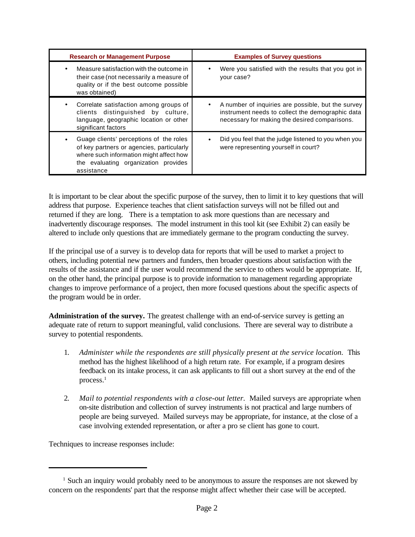| <b>Research or Management Purpose</b>                                                                                                                                                 | <b>Examples of Survey questions</b>                                                                                                                     |
|---------------------------------------------------------------------------------------------------------------------------------------------------------------------------------------|---------------------------------------------------------------------------------------------------------------------------------------------------------|
| Measure satisfaction with the outcome in<br>their case (not necessarily a measure of<br>quality or if the best outcome possible<br>was obtained)                                      | Were you satisfied with the results that you got in<br>your case?                                                                                       |
| Correlate satisfaction among groups of<br>clients distinguished by culture,<br>language, geographic location or other<br>significant factors                                          | A number of inquiries are possible, but the survey<br>instrument needs to collect the demographic data<br>necessary for making the desired comparisons. |
| Guage clients' perceptions of the roles<br>of key partners or agencies, particularly<br>where such information might affect how<br>the evaluating organization provides<br>assistance | Did you feel that the judge listened to you when you<br>were representing yourself in court?                                                            |

It is important to be clear about the specific purpose of the survey, then to limit it to key questions that will address that purpose. Experience teaches that client satisfaction surveys will not be filled out and returned if they are long. There is a temptation to ask more questions than are necessary and inadvertently discourage responses. The model instrument in this tool kit (see Exhibit 2) can easily be altered to include only questions that are immediately germane to the program conducting the survey.

If the principal use of a survey is to develop data for reports that will be used to market a project to others, including potential new partners and funders, then broader questions about satisfaction with the results of the assistance and if the user would recommend the service to others would be appropriate. If, on the other hand, the principal purpose is to provide information to management regarding appropriate changes to improve performance of a project, then more focused questions about the specific aspects of the program would be in order.

**Administration of the survey.** The greatest challenge with an end-of-service survey is getting an adequate rate of return to support meaningful, valid conclusions. There are several way to distribute a survey to potential respondents.

- 1. *Administer while the respondents are still physically present at the service location.* This method has the highest likelihood of a high return rate. For example, if a program desires feedback on its intake process, it can ask applicants to fill out a short survey at the end of the process.<sup>1</sup>
- 2. *Mail to potential respondents with a close-out letter.* Mailed surveys are appropriate when on-site distribution and collection of survey instruments is not practical and large numbers of people are being surveyed. Mailed surveys may be appropriate, for instance, at the close of a case involving extended representation, or after a pro se client has gone to court.

Techniques to increase responses include:

<sup>&</sup>lt;sup>1</sup> Such an inquiry would probably need to be anonymous to assure the responses are not skewed by concern on the respondents' part that the response might affect whether their case will be accepted.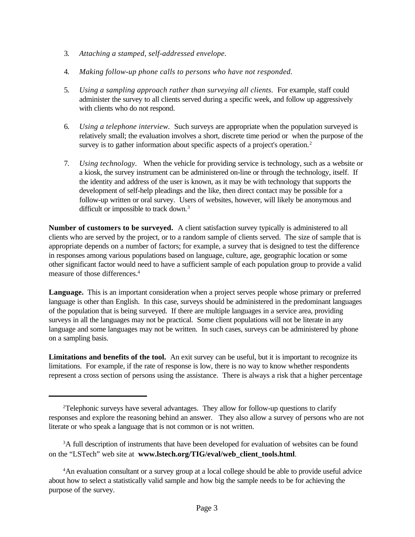- 3. *Attaching a stamped, self-addressed envelope.*
- 4. *Making follow-up phone calls to persons who have not responded.*
- 5. *Using a sampling approach rather than surveying all clients.* For example, staff could administer the survey to all clients served during a specific week, and follow up aggressively with clients who do not respond.
- 6. *Using a telephone interview.* Such surveys are appropriate when the population surveyed is relatively small; the evaluation involves a short, discrete time period or when the purpose of the survey is to gather information about specific aspects of a project's operation.<sup>2</sup>
- 7. *Using technology.* When the vehicle for providing service is technology, such as a website or a kiosk, the survey instrument can be administered on-line or through the technology, itself. If the identity and address of the user is known, as it may be with technology that supports the development of self-help pleadings and the like, then direct contact may be possible for a follow-up written or oral survey. Users of websites, however, will likely be anonymous and difficult or impossible to track down.<sup>3</sup>

**Number of customers to be surveyed.** A client satisfaction survey typically is administered to all clients who are served by the project, or to a random sample of clients served. The size of sample that is appropriate depends on a number of factors; for example, a survey that is designed to test the difference in responses among various populations based on language, culture, age, geographic location or some other significant factor would need to have a sufficient sample of each population group to provide a valid measure of those differences.<sup>4</sup>

**Language.** This is an important consideration when a project serves people whose primary or preferred language is other than English. In this case, surveys should be administered in the predominant languages of the population that is being surveyed. If there are multiple languages in a service area, providing surveys in all the languages may not be practical. Some client populations will not be literate in any language and some languages may not be written. In such cases, surveys can be administered by phone on a sampling basis.

**Limitations and benefits of the tool.** An exit survey can be useful, but it is important to recognize its limitations. For example, if the rate of response is low, there is no way to know whether respondents represent a cross section of persons using the assistance. There is always a risk that a higher percentage

<sup>2</sup>Telephonic surveys have several advantages. They allow for follow-up questions to clarify responses and explore the reasoning behind an answer. They also allow a survey of persons who are not literate or who speak a language that is not common or is not written.

<sup>&</sup>lt;sup>3</sup>A full description of instruments that have been developed for evaluation of websites can be found on the "LSTech" web site at **www.lstech.org/TIG/eval/web\_client\_tools.html**.

<sup>4</sup>An evaluation consultant or a survey group at a local college should be able to provide useful advice about how to select a statistically valid sample and how big the sample needs to be for achieving the purpose of the survey.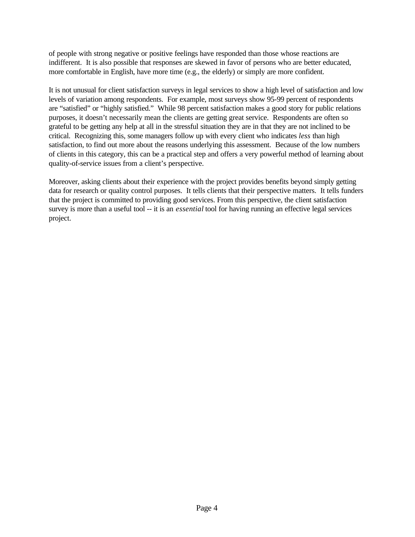of people with strong negative or positive feelings have responded than those whose reactions are indifferent. It is also possible that responses are skewed in favor of persons who are better educated, more comfortable in English, have more time (e.g., the elderly) or simply are more confident.

It is not unusual for client satisfaction surveys in legal services to show a high level of satisfaction and low levels of variation among respondents. For example, most surveys show 95-99 percent of respondents are "satisfied" or "highly satisfied." While 98 percent satisfaction makes a good story for public relations purposes, it doesn't necessarily mean the clients are getting great service. Respondents are often so grateful to be getting any help at all in the stressful situation they are in that they are not inclined to be critical. Recognizing this, some managers follow up with every client who indicates *less* than high satisfaction, to find out more about the reasons underlying this assessment. Because of the low numbers of clients in this category, this can be a practical step and offers a very powerful method of learning about quality-of-service issues from a client's perspective.

Moreover, asking clients about their experience with the project provides benefits beyond simply getting data for research or quality control purposes. It tells clients that their perspective matters. It tells funders that the project is committed to providing good services. From this perspective, the client satisfaction survey is more than a useful tool -- it is an *essential* tool for having running an effective legal services project.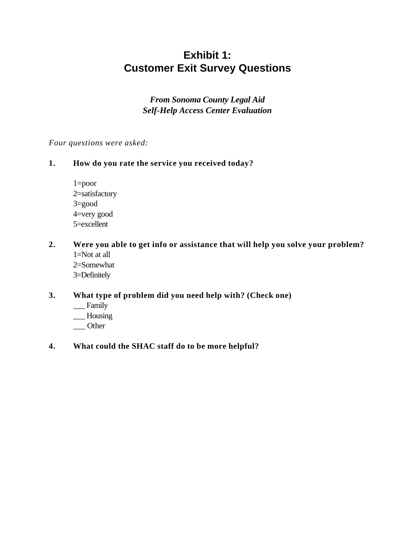# **Exhibit 1: Customer Exit Survey Questions**

*From Sonoma County Legal Aid Self-Help Access Center Evaluation*

#### *Four questions were asked:*

#### **1. How do you rate the service you received today?**

- 1=poor 2=satisfactory 3=good 4=very good 5=excellent
- **2. Were you able to get info or assistance that will help you solve your problem?** 1=Not at all 2=Somewhat 3=Definitely

#### **3. What type of problem did you need help with? (Check one)**

- \_\_\_ Family
- \_\_\_ Housing
- \_\_\_ Other

#### **4. What could the SHAC staff do to be more helpful?**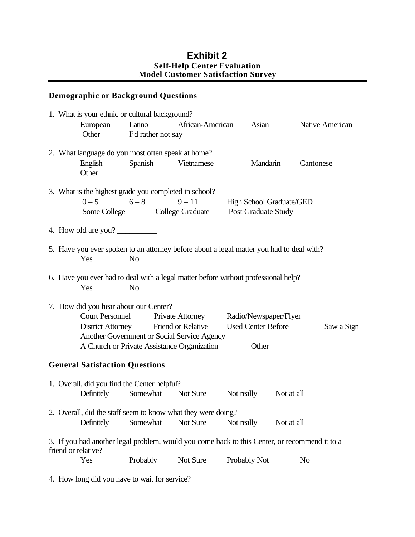#### **Exhibit 2 Self-Help Center Evaluation Model Customer Satisfaction Survey**

### **Demographic or Background Questions**

|  |                                       | 1. What is your ethnic or cultural background?                                                             |                                        |              |                           |                 |
|--|---------------------------------------|------------------------------------------------------------------------------------------------------------|----------------------------------------|--------------|---------------------------|-----------------|
|  | European<br>Other                     | Latino<br>I'd rather not say                                                                               | African-American                       |              | Asian                     | Native American |
|  |                                       | 2. What language do you most often speak at home?                                                          |                                        |              |                           |                 |
|  | English<br>Other                      | Spanish                                                                                                    | Vietnamese                             |              | Mandarin                  | Cantonese       |
|  |                                       | 3. What is the highest grade you completed in school?                                                      |                                        |              |                           |                 |
|  |                                       | $0 - 5$ 6 - 8<br>Some College College Graduate Post Graduate Study                                         | $9 - 11$                               |              | High School Graduate/GED  |                 |
|  | 4. How old are you?                   |                                                                                                            |                                        |              |                           |                 |
|  | Yes                                   | 5. Have you ever spoken to an attorney before about a legal matter you had to deal with?<br>N <sub>o</sub> |                                        |              |                           |                 |
|  |                                       | 6. Have you ever had to deal with a legal matter before without professional help?                         |                                        |              |                           |                 |
|  | Yes                                   | N <sub>o</sub>                                                                                             |                                        |              |                           |                 |
|  | 7. How did you hear about our Center? |                                                                                                            |                                        |              |                           |                 |
|  | <b>Court Personnel</b>                |                                                                                                            | Private Attorney Radio/Newspaper/Flyer |              |                           |                 |
|  |                                       | District Attorney Friend or Relative                                                                       |                                        |              | <b>Used Center Before</b> | Saw a Sign      |
|  |                                       | Another Government or Social Service Agency                                                                |                                        |              |                           |                 |
|  |                                       | A Church or Private Assistance Organization                                                                |                                        |              | Other                     |                 |
|  | <b>General Satisfaction Questions</b> |                                                                                                            |                                        |              |                           |                 |
|  |                                       | 1. Overall, did you find the Center helpful?                                                               |                                        |              |                           |                 |
|  | Definitely                            | Somewhat                                                                                                   | Not Sure                               | Not really   | Not at all                |                 |
|  |                                       | 2. Overall, did the staff seem to know what they were doing?                                               |                                        |              |                           |                 |
|  | Definitely                            | Somewhat                                                                                                   | Not Sure                               | Not really   | Not at all                |                 |
|  | friend or relative?                   | 3. If you had another legal problem, would you come back to this Center, or recommend it to a              |                                        |              |                           |                 |
|  | Yes                                   | Probably                                                                                                   | Not Sure                               | Probably Not |                           | No              |
|  |                                       |                                                                                                            |                                        |              |                           |                 |

4. How long did you have to wait for service?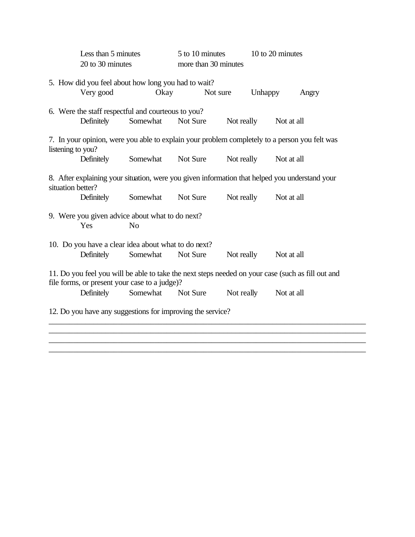|                                                                                                                                                    | Less than 5 minutes                                                                                                 |                | 5 to 10 minutes      |            | 10 to 20 minutes |       |
|----------------------------------------------------------------------------------------------------------------------------------------------------|---------------------------------------------------------------------------------------------------------------------|----------------|----------------------|------------|------------------|-------|
|                                                                                                                                                    | 20 to 30 minutes                                                                                                    |                | more than 30 minutes |            |                  |       |
|                                                                                                                                                    | 5. How did you feel about how long you had to wait?<br>Very good                                                    | Okay           |                      | Not sure   | <b>Unhappy</b>   | Angry |
|                                                                                                                                                    |                                                                                                                     |                |                      |            |                  |       |
|                                                                                                                                                    | 6. Were the staff respectful and courteous to you?                                                                  |                |                      |            |                  |       |
|                                                                                                                                                    | Definitely                                                                                                          | Somewhat       | Not Sure             | Not really | Not at all       |       |
|                                                                                                                                                    | 7. In your opinion, were you able to explain your problem completely to a person you felt was<br>listening to you?  |                |                      |            |                  |       |
|                                                                                                                                                    | Definitely                                                                                                          | Somewhat       | Not Sure             | Not really | Not at all       |       |
|                                                                                                                                                    | 8. After explaining your situation, were you given information that helped you understand your<br>situation better? |                |                      |            |                  |       |
|                                                                                                                                                    | Definitely                                                                                                          | Somewhat       | Not Sure             | Not really | Not at all       |       |
|                                                                                                                                                    | 9. Were you given advice about what to do next?                                                                     |                |                      |            |                  |       |
|                                                                                                                                                    | Yes                                                                                                                 | N <sub>o</sub> |                      |            |                  |       |
|                                                                                                                                                    | 10. Do you have a clear idea about what to do next?                                                                 |                |                      |            |                  |       |
|                                                                                                                                                    | Definitely                                                                                                          | Somewhat       | Not Sure             | Not really | Not at all       |       |
| 11. Do you feel you will be able to take the next steps needed on your case (such as fill out and<br>file forms, or present your case to a judge)? |                                                                                                                     |                |                      |            |                  |       |
|                                                                                                                                                    | Definitely                                                                                                          | Somewhat       | Not Sure             | Not really | Not at all       |       |
|                                                                                                                                                    | 12. Do you have any suggestions for improving the service?                                                          |                |                      |            |                  |       |
|                                                                                                                                                    |                                                                                                                     |                |                      |            |                  |       |

\_\_\_\_\_\_\_\_\_\_\_\_\_\_\_\_\_\_\_\_\_\_\_\_\_\_\_\_\_\_\_\_\_\_\_\_\_\_\_\_\_\_\_\_\_\_\_\_\_\_\_\_\_\_\_\_\_\_\_\_\_\_\_\_\_\_\_\_\_\_\_\_\_\_\_\_\_\_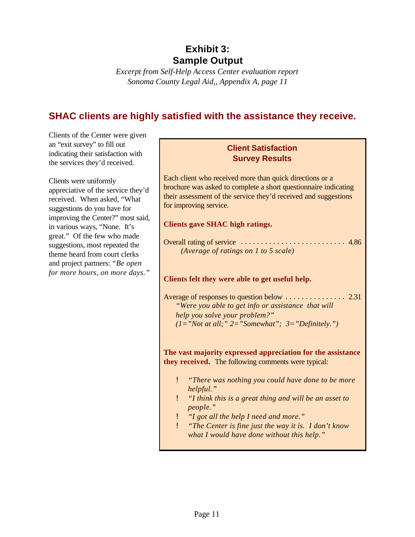## **Exhibit 3: Sample Output**

*Excerpt from Self-Help Access Center evaluation report Sonoma County Legal Aid,, Appendix A, page 11*

## **SHAC clients are highly satisfied with the assistance they receive.**

Clients of the Center were given an "exit survey" to fill out indicating their satisfaction with the services they'd received.

Clients were uniformly appreciative of the service they'd received. When asked, "What suggestions do you have for improving the Center?" most said, in various ways, "None. It's great." Of the few who made suggestions, most repeated the theme heard from court clerks and project partners: *"Be open for more hours, on more days."*

#### **Client Satisfaction Survey Results**

Each client who received more than quick directions or a brochure was asked to complete a short questionnaire indicating their assessment of the service they'd received and suggestions for improving service.

#### **Clients gave SHAC high ratings.**

| (Average of ratings on 1 to 5 scale) |  |
|--------------------------------------|--|

#### **Clients felt they were able to get useful help.**

Average of responses to question below ............... 2.31 *"Were you able to get info or assistance that will help you solve your problem?" (1="Not at all;" 2="Somewhat"; 3="Definitely.")*

**The vast majority expressed appreciation for the assistance they received.** The following comments were typical:

- ! *"There was nothing you could have done to be more helpful."*
- ! *"I think this is a great thing and will be an asset to people."*
- ! *"I got all the help I need and more."*
- ! *"The Center is fine just the way it is. I don't know what I would have done without this help."*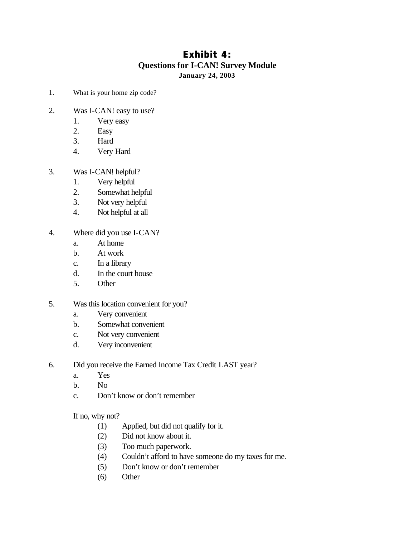### **Exhibit 4: Questions for I-CAN! Survey Module January 24, 2003**

- 1. What is your home zip code?
- 2. Was I-CAN! easy to use?
	- 1. Very easy
	- 2. Easy
	- 3. Hard
	- 4. Very Hard
- 3. Was I-CAN! helpful?
	- 1. Very helpful
	- 2. Somewhat helpful
	- 3. Not very helpful
	- 4. Not helpful at all
- 4. Where did you use I-CAN?
	- a. At home
	- b. At work
	- c. In a library
	- d. In the court house
	- 5. Other
- 5. Was this location convenient for you?
	- a. Very convenient
	- b. Somewhat convenient
	- c. Not very convenient
	- d. Very inconvenient

6. Did you receive the Earned Income Tax Credit LAST year?

- a. Yes
- b. No
- c. Don't know or don't remember

If no, why not?

- (1) Applied, but did not qualify for it.
- (2) Did not know about it.
- (3) Too much paperwork.
- (4) Couldn't afford to have someone do my taxes for me.
- (5) Don't know or don't remember
- (6) Other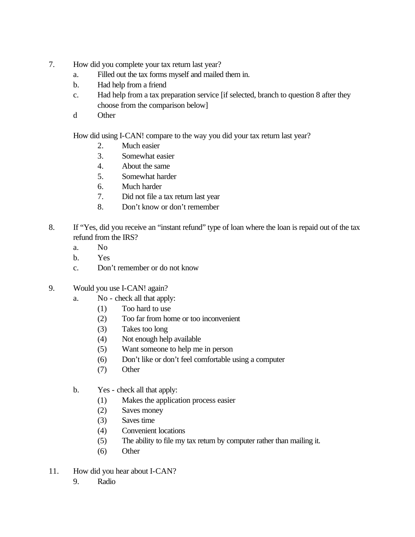- 7. How did you complete your tax return last year?
	- a. Filled out the tax forms myself and mailed them in.
	- b. Had help from a friend
	- c. Had help from a tax preparation service [if selected, branch to question 8 after they choose from the comparison below]
	- d Other

How did using I-CAN! compare to the way you did your tax return last year?

- 2. Much easier
- 3. Somewhat easier
- 4. About the same
- 5. Somewhat harder
- 6. Much harder
- 7. Did not file a tax return last year
- 8. Don't know or don't remember
- 8. If "Yes, did you receive an "instant refund" type of loan where the loan is repaid out of the tax refund from the IRS?
	- a. No
	- b. Yes
	- c. Don't remember or do not know
- 9. Would you use I-CAN! again?
	- a. No check all that apply:
		- (1) Too hard to use
		- (2) Too far from home or too inconvenient
		- (3) Takes too long
		- (4) Not enough help available
		- (5) Want someone to help me in person
		- (6) Don't like or don't feel comfortable using a computer
		- (7) Other
	- b. Yes check all that apply:
		- (1) Makes the application process easier
		- (2) Saves money
		- (3) Saves time
		- (4) Convenient locations
		- (5) The ability to file my tax return by computer rather than mailing it.
		- (6) Other
- 11. How did you hear about I-CAN?
	- 9. Radio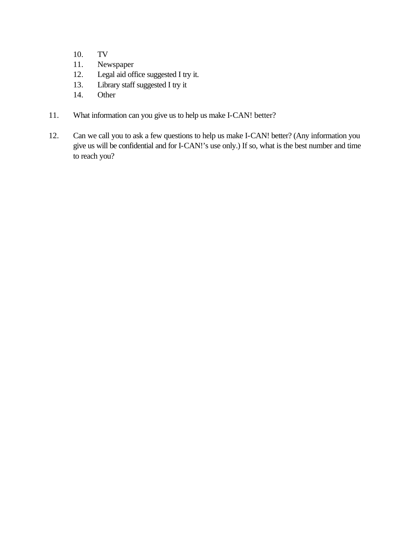- 10. TV
- 11. Newspaper
- 12. Legal aid office suggested I try it.
- 13. Library staff suggested I try it
- 14. Other
- 11. What information can you give us to help us make I-CAN! better?
- 12. Can we call you to ask a few questions to help us make I-CAN! better? (Any information you give us will be confidential and for I-CAN!'s use only.) If so, what is the best number and time to reach you?